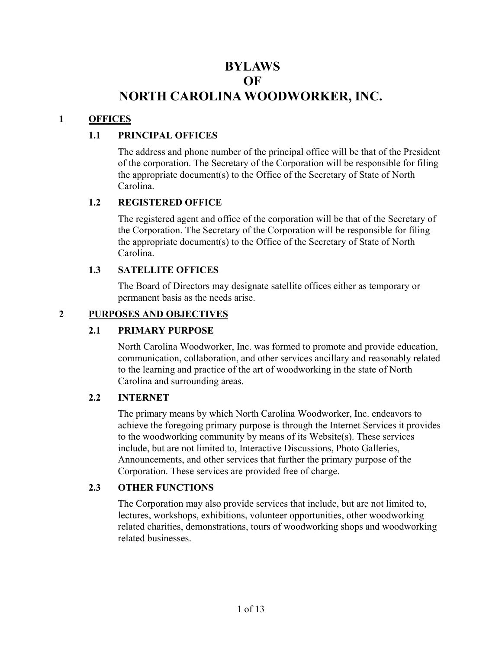# **BYLAWS OF NORTH CAROLINA WOODWORKER, INC.**

## **1 OFFICES**

## **1.1 PRINCIPAL OFFICES**

The address and phone number of the principal office will be that of the President of the corporation. The Secretary of the Corporation will be responsible for filing the appropriate document(s) to the Office of the Secretary of State of North Carolina.

## **1.2 REGISTERED OFFICE**

The registered agent and office of the corporation will be that of the Secretary of the Corporation. The Secretary of the Corporation will be responsible for filing the appropriate document(s) to the Office of the Secretary of State of North Carolina.

#### **1.3 SATELLITE OFFICES**

The Board of Directors may designate satellite offices either as temporary or permanent basis as the needs arise.

#### **2 PURPOSES AND OBJECTIVES**

#### **2.1 PRIMARY PURPOSE**

North Carolina Woodworker, Inc. was formed to promote and provide education, communication, collaboration, and other services ancillary and reasonably related to the learning and practice of the art of woodworking in the state of North Carolina and surrounding areas.

#### **2.2 INTERNET**

The primary means by which North Carolina Woodworker, Inc. endeavors to achieve the foregoing primary purpose is through the Internet Services it provides to the woodworking community by means of its Website(s). These services include, but are not limited to, Interactive Discussions, Photo Galleries, Announcements, and other services that further the primary purpose of the Corporation. These services are provided free of charge.

## **2.3 OTHER FUNCTIONS**

The Corporation may also provide services that include, but are not limited to, lectures, workshops, exhibitions, volunteer opportunities, other woodworking related charities, demonstrations, tours of woodworking shops and woodworking related businesses.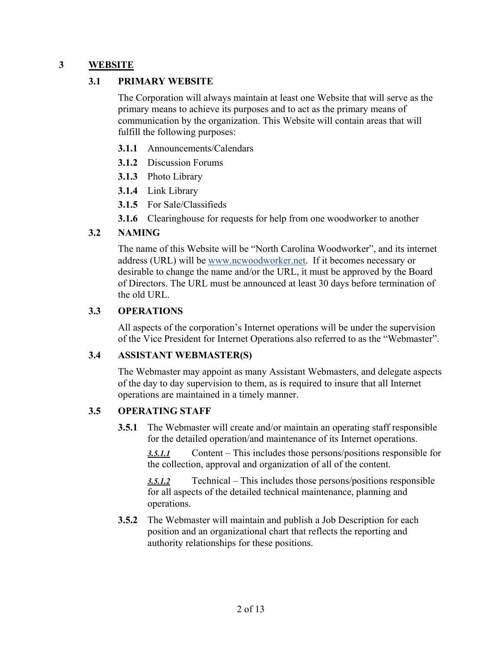## **3 WEBSITE**

#### **3.1 PRIMARY WEBSITE**

The Corporation will always maintain at least one Website that will serve as the primary means to achieve its purposes and to act as the primary means of communication by the organization. This Website will contain areas that will fulfill the following purposes:

- **3.1.1** Announcements/Calendars
- **3.1.2** Discussion Forums
- **3.1.3** Photo Library
- **3.1.4** Link Library
- **3.1.5** For Sale/Classifieds

**3.1.6** Clearinghouse for requests for help from one woodworker to another

#### **3.2 NAMING**

The name of this Website will be "North Carolina Woodworker", and its internet address (URL) will be www.ncwoodworker.net. If it becomes necessary or desirable to change the name and/or the URL, it must be approved by the Board of Directors. The URL must be announced at least 30 days before termination of the old URL.

#### **3.3 OPERATIONS**

All aspects of the corporation's Internet operations will be under the supervision of the Vice President for Internet Operations also referred to as the "Webmaster".

#### **3.4 ASSISTANT WEBMASTER(S)**

The Webmaster may appoint as many Assistant Webmasters, and delegate aspects of the day to day supervision to them, as is required to insure that all Internet operations are maintained in a timely manner.

#### **3.5 OPERATING STAFF**

**3.5.1** The Webmaster will create and/or maintain an operating staff responsible for the detailed operation/and maintenance of its Internet operations.

*3.5.1.1* Content – This includes those persons/positions responsible for the collection, approval and organization of all of the content.

*3.5.1.2* Technical – This includes those persons/positions responsible for all aspects of the detailed technical maintenance, planning and operations.

**3.5.2** The Webmaster will maintain and publish a Job Description for each position and an organizational chart that reflects the reporting and authority relationships for these positions.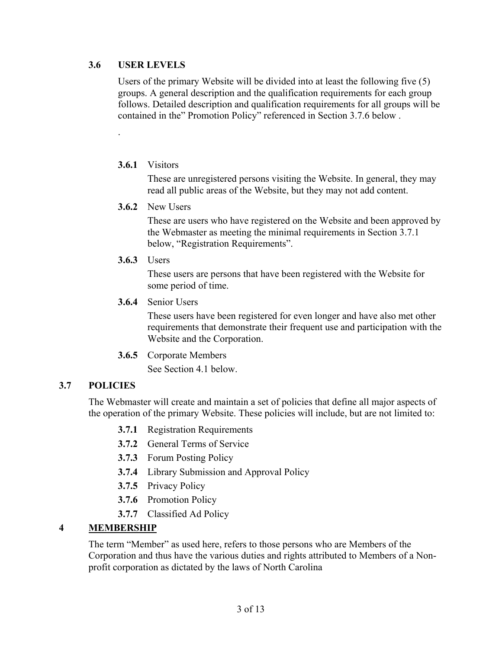#### **3.6 USER LEVELS**

.

Users of the primary Website will be divided into at least the following five (5) groups. A general description and the qualification requirements for each group follows. Detailed description and qualification requirements for all groups will be contained in the" Promotion Policy" referenced in Section 3.7.6 below .

#### **3.6.1** Visitors

These are unregistered persons visiting the Website. In general, they may read all public areas of the Website, but they may not add content.

**3.6.2** New Users

These are users who have registered on the Website and been approved by the Webmaster as meeting the minimal requirements in Section 3.7.1 below, "Registration Requirements".

**3.6.3** Users

These users are persons that have been registered with the Website for some period of time.

**3.6.4** Senior Users

These users have been registered for even longer and have also met other requirements that demonstrate their frequent use and participation with the Website and the Corporation.

**3.6.5** Corporate Members

See Section 4.1 below.

## **3.7 POLICIES**

The Webmaster will create and maintain a set of policies that define all major aspects of the operation of the primary Website. These policies will include, but are not limited to:

- **3.7.1** Registration Requirements
- **3.7.2** General Terms of Service
- **3.7.3** Forum Posting Policy
- **3.7.4** Library Submission and Approval Policy
- **3.7.5** Privacy Policy
- **3.7.6** Promotion Policy
- **3.7.7** Classified Ad Policy

## **4 MEMBERSHIP**

The term "Member" as used here, refers to those persons who are Members of the Corporation and thus have the various duties and rights attributed to Members of a Nonprofit corporation as dictated by the laws of North Carolina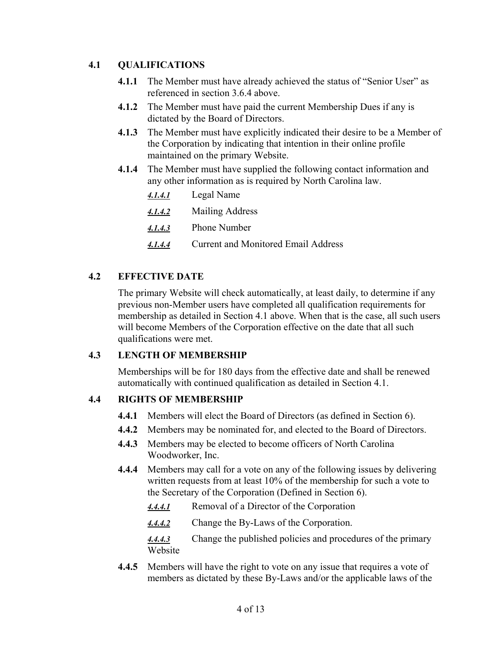## **4.1 QUALIFICATIONS**

- **4.1.1** The Member must have already achieved the status of "Senior User" as referenced in section 3.6.4 above.
- **4.1.2** The Member must have paid the current Membership Dues if any is dictated by the Board of Directors.
- **4.1.3** The Member must have explicitly indicated their desire to be a Member of the Corporation by indicating that intention in their online profile maintained on the primary Website.
- **4.1.4** The Member must have supplied the following contact information and any other information as is required by North Carolina law.

| 4.1.4.1 | Legal Name |
|---------|------------|
|         |            |

- *4.1.4.2* Mailing Address
- *4.1.4.3* Phone Number
- *4.1.4.4* Current and Monitored Email Address

## **4.2 EFFECTIVE DATE**

The primary Website will check automatically, at least daily, to determine if any previous non-Member users have completed all qualification requirements for membership as detailed in Section 4.1 above. When that is the case, all such users will become Members of the Corporation effective on the date that all such qualifications were met.

## **4.3 LENGTH OF MEMBERSHIP**

Memberships will be for 180 days from the effective date and shall be renewed automatically with continued qualification as detailed in Section 4.1.

## **4.4 RIGHTS OF MEMBERSHIP**

- **4.4.1** Members will elect the Board of Directors (as defined in Section 6).
- **4.4.2** Members may be nominated for, and elected to the Board of Directors.
- **4.4.3** Members may be elected to become officers of North Carolina Woodworker, Inc.
- **4.4.4** Members may call for a vote on any of the following issues by delivering written requests from at least 10% of the membership for such a vote to the Secretary of the Corporation (Defined in Section 6).
	- *4.4.4.1* Removal of a Director of the Corporation
	- *4.4.4.2* Change the By-Laws of the Corporation.

*4.4.4.3* Change the published policies and procedures of the primary Website

**4.4.5** Members will have the right to vote on any issue that requires a vote of members as dictated by these By-Laws and/or the applicable laws of the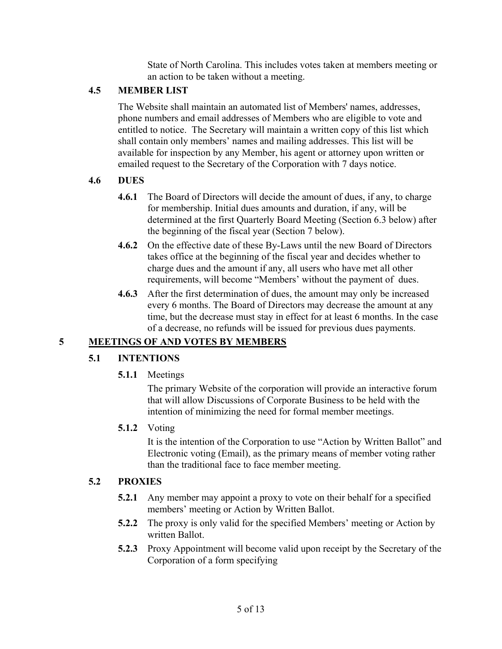State of North Carolina. This includes votes taken at members meeting or an action to be taken without a meeting.

## **4.5 MEMBER LIST**

The Website shall maintain an automated list of Members' names, addresses, phone numbers and email addresses of Members who are eligible to vote and entitled to notice. The Secretary will maintain a written copy of this list which shall contain only members' names and mailing addresses. This list will be available for inspection by any Member, his agent or attorney upon written or emailed request to the Secretary of the Corporation with 7 days notice.

## **4.6 DUES**

- **4.6.1** The Board of Directors will decide the amount of dues, if any, to charge for membership. Initial dues amounts and duration, if any, will be determined at the first Quarterly Board Meeting (Section 6.3 below) after the beginning of the fiscal year (Section 7 below).
- **4.6.2** On the effective date of these By-Laws until the new Board of Directors takes office at the beginning of the fiscal year and decides whether to charge dues and the amount if any, all users who have met all other requirements, will become "Members' without the payment of dues.
- **4.6.3** After the first determination of dues, the amount may only be increased every 6 months. The Board of Directors may decrease the amount at any time, but the decrease must stay in effect for at least 6 months. In the case of a decrease, no refunds will be issued for previous dues payments.

## **5 MEETINGS OF AND VOTES BY MEMBERS**

## **5.1 INTENTIONS**

**5.1.1** Meetings

The primary Website of the corporation will provide an interactive forum that will allow Discussions of Corporate Business to be held with the intention of minimizing the need for formal member meetings.

## **5.1.2** Voting

It is the intention of the Corporation to use "Action by Written Ballot" and Electronic voting (Email), as the primary means of member voting rather than the traditional face to face member meeting.

## **5.2 PROXIES**

- **5.2.1** Any member may appoint a proxy to vote on their behalf for a specified members' meeting or Action by Written Ballot.
- **5.2.2** The proxy is only valid for the specified Members' meeting or Action by written Ballot.
- **5.2.3** Proxy Appointment will become valid upon receipt by the Secretary of the Corporation of a form specifying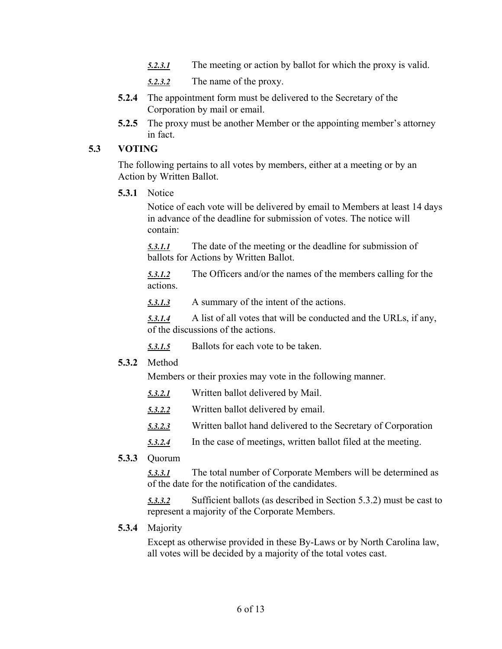- *5.2.3.1* The meeting or action by ballot for which the proxy is valid.
- *5.2.3.2* The name of the proxy.
- **5.2.4** The appointment form must be delivered to the Secretary of the Corporation by mail or email.
- **5.2.5** The proxy must be another Member or the appointing member's attorney in fact.

#### **5.3 VOTING**

The following pertains to all votes by members, either at a meeting or by an Action by Written Ballot.

**5.3.1** Notice

Notice of each vote will be delivered by email to Members at least 14 days in advance of the deadline for submission of votes. The notice will contain:

*5.3.1.1* The date of the meeting or the deadline for submission of ballots for Actions by Written Ballot.

*5.3.1.2* The Officers and/or the names of the members calling for the actions.

*5.3.1.3* A summary of the intent of the actions.

*5.3.1.4* A list of all votes that will be conducted and the URLs, if any, of the discussions of the actions.

- *5.3.1.5* Ballots for each vote to be taken.
- **5.3.2** Method

Members or their proxies may vote in the following manner.

- *5.3.2.1* Written ballot delivered by Mail.
- *5.3.2.2* Written ballot delivered by email.
- *5.3.2.3* Written ballot hand delivered to the Secretary of Corporation
- *5.3.2.4* In the case of meetings, written ballot filed at the meeting.
- **5.3.3** Quorum

*5.3.3.1* The total number of Corporate Members will be determined as of the date for the notification of the candidates.

*5.3.3.2* Sufficient ballots (as described in Section 5.3.2) must be cast to represent a majority of the Corporate Members.

**5.3.4** Majority

Except as otherwise provided in these By-Laws or by North Carolina law, all votes will be decided by a majority of the total votes cast.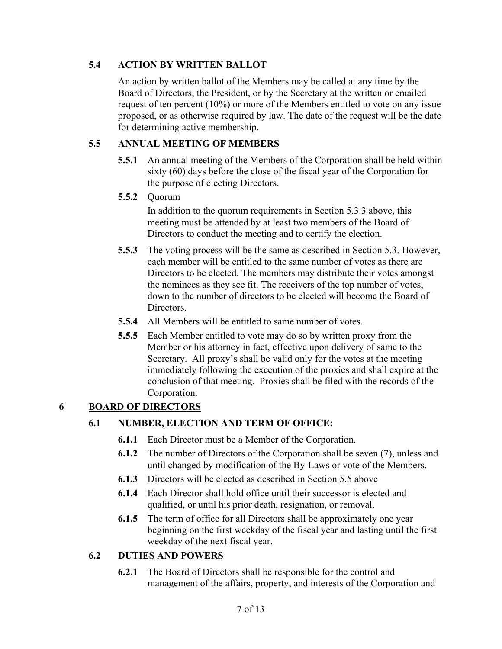## **5.4 ACTION BY WRITTEN BALLOT**

An action by written ballot of the Members may be called at any time by the Board of Directors, the President, or by the Secretary at the written or emailed request of ten percent (10%) or more of the Members entitled to vote on any issue proposed, or as otherwise required by law. The date of the request will be the date for determining active membership.

## **5.5 ANNUAL MEETING OF MEMBERS**

- **5.5.1** An annual meeting of the Members of the Corporation shall be held within sixty (60) days before the close of the fiscal year of the Corporation for the purpose of electing Directors.
- **5.5.2** Quorum

In addition to the quorum requirements in Section 5.3.3 above, this meeting must be attended by at least two members of the Board of Directors to conduct the meeting and to certify the election.

- **5.5.3** The voting process will be the same as described in Section 5.3. However, each member will be entitled to the same number of votes as there are Directors to be elected. The members may distribute their votes amongst the nominees as they see fit. The receivers of the top number of votes, down to the number of directors to be elected will become the Board of Directors.
- **5.5.4** All Members will be entitled to same number of votes.
- **5.5.5** Each Member entitled to vote may do so by written proxy from the Member or his attorney in fact, effective upon delivery of same to the Secretary. All proxy's shall be valid only for the votes at the meeting immediately following the execution of the proxies and shall expire at the conclusion of that meeting. Proxies shall be filed with the records of the Corporation.

## **6 BOARD OF DIRECTORS**

## **6.1 NUMBER, ELECTION AND TERM OF OFFICE:**

- **6.1.1** Each Director must be a Member of the Corporation.
- **6.1.2** The number of Directors of the Corporation shall be seven (7), unless and until changed by modification of the By-Laws or vote of the Members.
- **6.1.3** Directors will be elected as described in Section 5.5 above
- **6.1.4** Each Director shall hold office until their successor is elected and qualified, or until his prior death, resignation, or removal.
- **6.1.5** The term of office for all Directors shall be approximately one year beginning on the first weekday of the fiscal year and lasting until the first weekday of the next fiscal year.

## **6.2 DUTIES AND POWERS**

**6.2.1** The Board of Directors shall be responsible for the control and management of the affairs, property, and interests of the Corporation and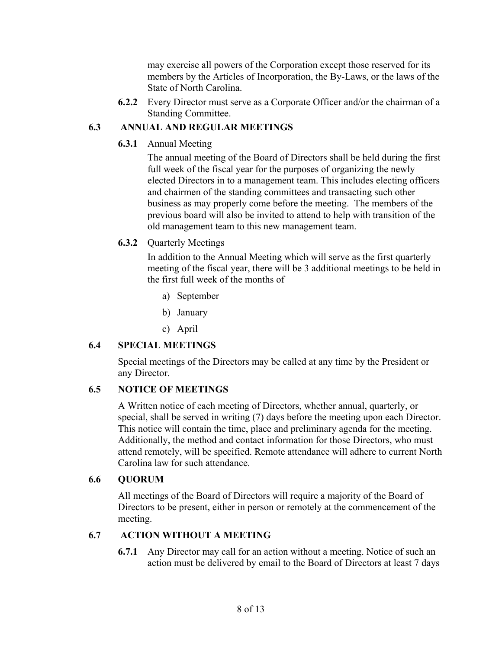may exercise all powers of the Corporation except those reserved for its members by the Articles of Incorporation, the By-Laws, or the laws of the State of North Carolina.

**6.2.2** Every Director must serve as a Corporate Officer and/or the chairman of a Standing Committee.

#### **6.3 ANNUAL AND REGULAR MEETINGS**

**6.3.1** Annual Meeting

The annual meeting of the Board of Directors shall be held during the first full week of the fiscal year for the purposes of organizing the newly elected Directors in to a management team. This includes electing officers and chairmen of the standing committees and transacting such other business as may properly come before the meeting. The members of the previous board will also be invited to attend to help with transition of the old management team to this new management team.

**6.3.2** Quarterly Meetings

In addition to the Annual Meeting which will serve as the first quarterly meeting of the fiscal year, there will be 3 additional meetings to be held in the first full week of the months of

- a) September
- b) January
- c) April

## **6.4 SPECIAL MEETINGS**

Special meetings of the Directors may be called at any time by the President or any Director.

## **6.5 NOTICE OF MEETINGS**

A Written notice of each meeting of Directors, whether annual, quarterly, or special, shall be served in writing (7) days before the meeting upon each Director. This notice will contain the time, place and preliminary agenda for the meeting. Additionally, the method and contact information for those Directors, who must attend remotely, will be specified. Remote attendance will adhere to current North Carolina law for such attendance.

#### **6.6 QUORUM**

All meetings of the Board of Directors will require a majority of the Board of Directors to be present, either in person or remotely at the commencement of the meeting.

#### **6.7 ACTION WITHOUT A MEETING**

**6.7.1** Any Director may call for an action without a meeting. Notice of such an action must be delivered by email to the Board of Directors at least 7 days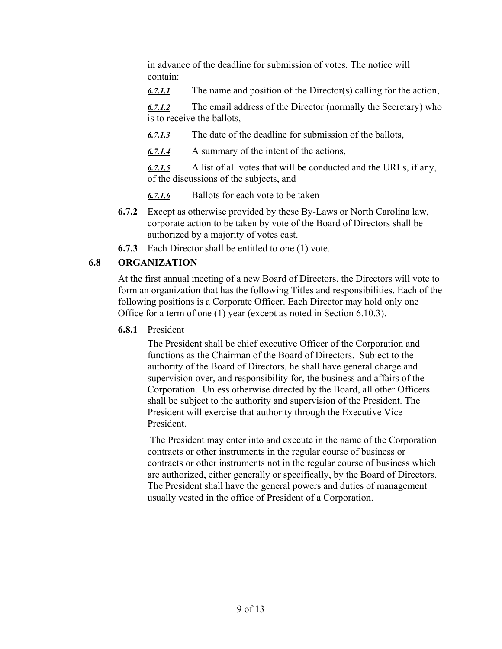in advance of the deadline for submission of votes. The notice will contain:

*6.7.1.1* The name and position of the Director(s) calling for the action,

*6.7.1.2* The email address of the Director (normally the Secretary) who is to receive the ballots,

*6.7.1.3* The date of the deadline for submission of the ballots,

*6.7.1.4* A summary of the intent of the actions,

*6.7.1.5* A list of all votes that will be conducted and the URLs, if any, of the discussions of the subjects, and

*6.7.1.6* Ballots for each vote to be taken

- **6.7.2** Except as otherwise provided by these By-Laws or North Carolina law, corporate action to be taken by vote of the Board of Directors shall be authorized by a majority of votes cast.
- **6.7.3** Each Director shall be entitled to one (1) vote.

## **6.8 ORGANIZATION**

At the first annual meeting of a new Board of Directors, the Directors will vote to form an organization that has the following Titles and responsibilities. Each of the following positions is a Corporate Officer. Each Director may hold only one Office for a term of one (1) year (except as noted in Section 6.10.3).

## **6.8.1** President

The President shall be chief executive Officer of the Corporation and functions as the Chairman of the Board of Directors. Subject to the authority of the Board of Directors, he shall have general charge and supervision over, and responsibility for, the business and affairs of the Corporation. Unless otherwise directed by the Board, all other Officers shall be subject to the authority and supervision of the President. The President will exercise that authority through the Executive Vice President.

 The President may enter into and execute in the name of the Corporation contracts or other instruments in the regular course of business or contracts or other instruments not in the regular course of business which are authorized, either generally or specifically, by the Board of Directors. The President shall have the general powers and duties of management usually vested in the office of President of a Corporation.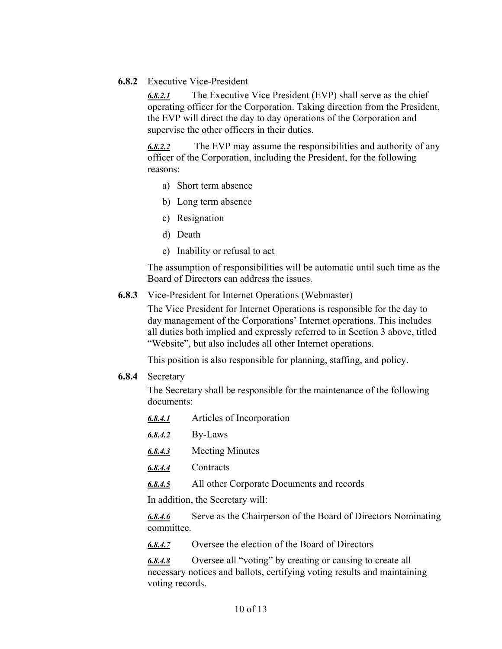**6.8.2** Executive Vice-President

*6.8.2.1* The Executive Vice President (EVP) shall serve as the chief operating officer for the Corporation. Taking direction from the President, the EVP will direct the day to day operations of the Corporation and supervise the other officers in their duties.

*6.8.2.2* The EVP may assume the responsibilities and authority of any officer of the Corporation, including the President, for the following reasons:

- a) Short term absence
- b) Long term absence
- c) Resignation
- d) Death
- e) Inability or refusal to act

The assumption of responsibilities will be automatic until such time as the Board of Directors can address the issues.

**6.8.3** Vice-President for Internet Operations (Webmaster)

The Vice President for Internet Operations is responsible for the day to day management of the Corporations' Internet operations. This includes all duties both implied and expressly referred to in Section 3 above, titled "Website", but also includes all other Internet operations.

This position is also responsible for planning, staffing, and policy.

**6.8.4** Secretary

The Secretary shall be responsible for the maintenance of the following documents:

- *6.8.4.1* Articles of Incorporation
- *6.8.4.2* By-Laws
- *6.8.4.3* Meeting Minutes
- *6.8.4.4* Contracts
- *6.8.4.5* All other Corporate Documents and records

In addition, the Secretary will:

*6.8.4.6* Serve as the Chairperson of the Board of Directors Nominating committee.

*6.8.4.7* Oversee the election of the Board of Directors

*6.8.4.8* Oversee all "voting" by creating or causing to create all necessary notices and ballots, certifying voting results and maintaining voting records.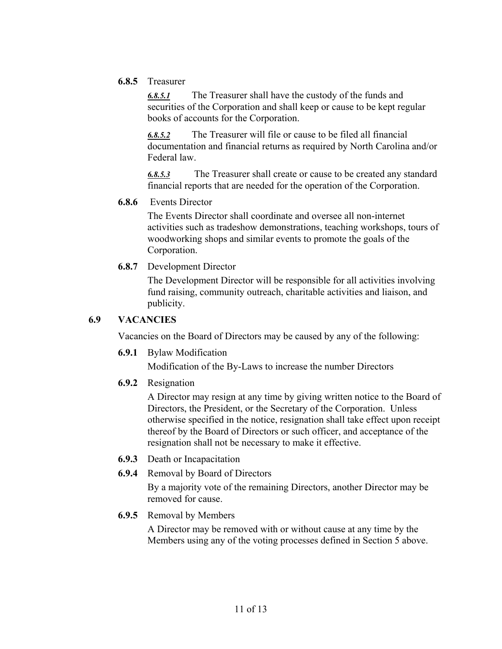**6.8.5** Treasurer

*6.8.5.1* The Treasurer shall have the custody of the funds and securities of the Corporation and shall keep or cause to be kept regular books of accounts for the Corporation.

*6.8.5.2* The Treasurer will file or cause to be filed all financial documentation and financial returns as required by North Carolina and/or Federal law.

*6.8.5.3* The Treasurer shall create or cause to be created any standard financial reports that are needed for the operation of the Corporation.

#### **6.8.6** Events Director

The Events Director shall coordinate and oversee all non-internet activities such as tradeshow demonstrations, teaching workshops, tours of woodworking shops and similar events to promote the goals of the Corporation.

**6.8.7** Development Director

The Development Director will be responsible for all activities involving fund raising, community outreach, charitable activities and liaison, and publicity.

#### **6.9 VACANCIES**

Vacancies on the Board of Directors may be caused by any of the following:

**6.9.1** Bylaw Modification

Modification of the By-Laws to increase the number Directors

**6.9.2** Resignation

A Director may resign at any time by giving written notice to the Board of Directors, the President, or the Secretary of the Corporation. Unless otherwise specified in the notice, resignation shall take effect upon receipt thereof by the Board of Directors or such officer, and acceptance of the resignation shall not be necessary to make it effective.

- **6.9.3** Death or Incapacitation
- **6.9.4** Removal by Board of Directors

By a majority vote of the remaining Directors, another Director may be removed for cause.

**6.9.5** Removal by Members

A Director may be removed with or without cause at any time by the Members using any of the voting processes defined in Section 5 above.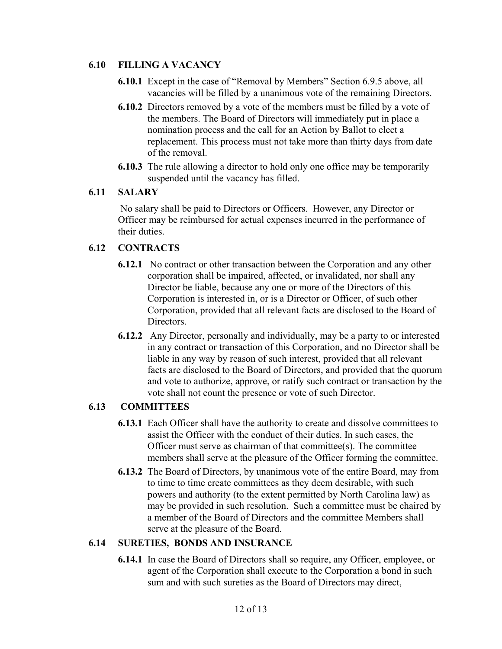#### **6.10 FILLING A VACANCY**

- **6.10.1** Except in the case of "Removal by Members" Section 6.9.5 above, all vacancies will be filled by a unanimous vote of the remaining Directors.
- **6.10.2** Directors removed by a vote of the members must be filled by a vote of the members. The Board of Directors will immediately put in place a nomination process and the call for an Action by Ballot to elect a replacement. This process must not take more than thirty days from date of the removal.
- **6.10.3** The rule allowing a director to hold only one office may be temporarily suspended until the vacancy has filled.

#### **6.11 SALARY**

 No salary shall be paid to Directors or Officers. However, any Director or Officer may be reimbursed for actual expenses incurred in the performance of their duties.

#### **6.12 CONTRACTS**

- **6.12.1** No contract or other transaction between the Corporation and any other corporation shall be impaired, affected, or invalidated, nor shall any Director be liable, because any one or more of the Directors of this Corporation is interested in, or is a Director or Officer, of such other Corporation, provided that all relevant facts are disclosed to the Board of Directors.
- **6.12.2** Any Director, personally and individually, may be a party to or interested in any contract or transaction of this Corporation, and no Director shall be liable in any way by reason of such interest, provided that all relevant facts are disclosed to the Board of Directors, and provided that the quorum and vote to authorize, approve, or ratify such contract or transaction by the vote shall not count the presence or vote of such Director.

#### **6.13 COMMITTEES**

- **6.13.1** Each Officer shall have the authority to create and dissolve committees to assist the Officer with the conduct of their duties. In such cases, the Officer must serve as chairman of that committee(s). The committee members shall serve at the pleasure of the Officer forming the committee.
- **6.13.2** The Board of Directors, by unanimous vote of the entire Board, may from to time to time create committees as they deem desirable, with such powers and authority (to the extent permitted by North Carolina law) as may be provided in such resolution. Such a committee must be chaired by a member of the Board of Directors and the committee Members shall serve at the pleasure of the Board.

#### **6.14 SURETIES, BONDS AND INSURANCE**

**6.14.1** In case the Board of Directors shall so require, any Officer, employee, or agent of the Corporation shall execute to the Corporation a bond in such sum and with such sureties as the Board of Directors may direct,